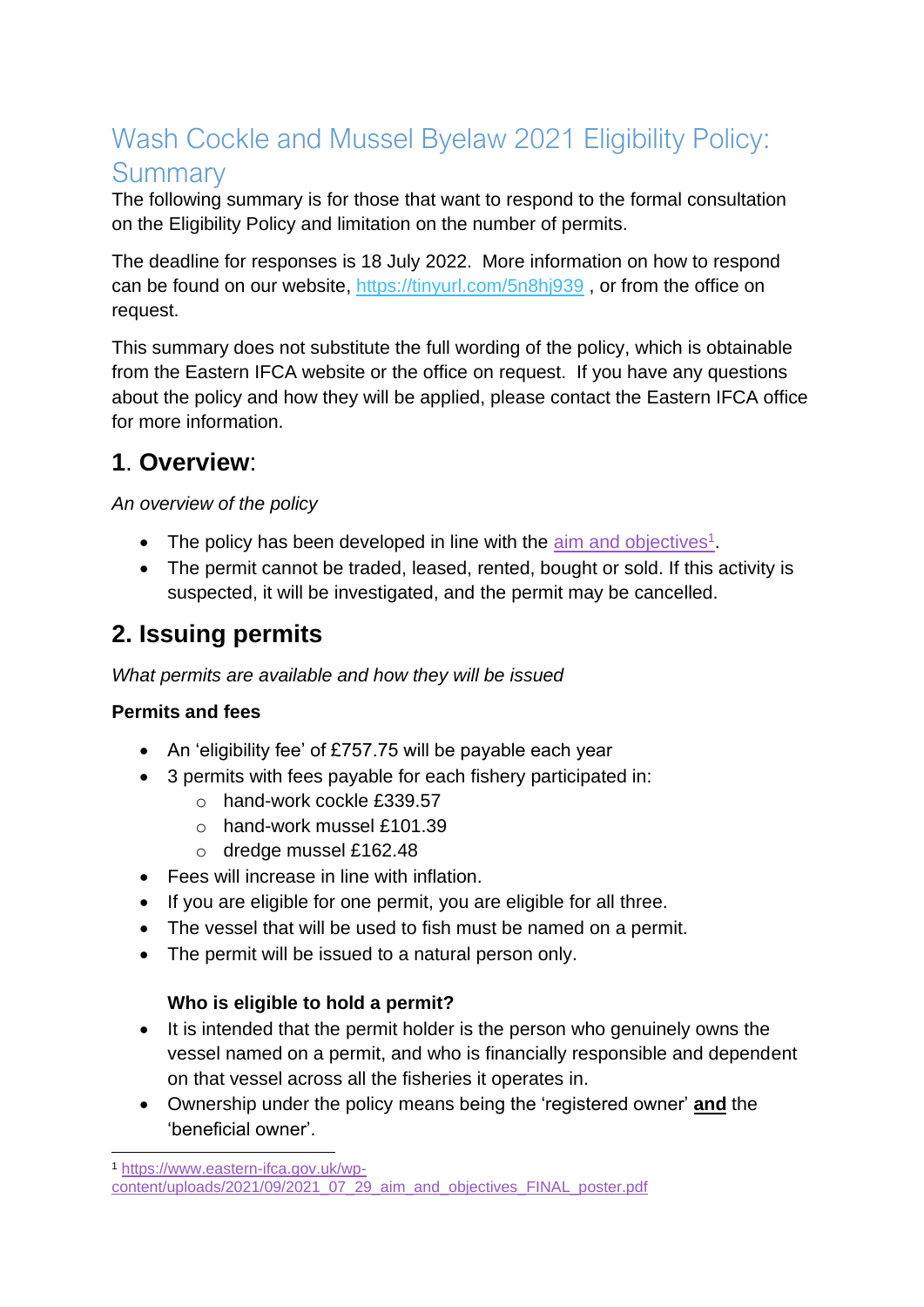# Wash Cockle and Mussel Byelaw 2021 Eligibility Policy: **Summary**

The following summary is for those that want to respond to the formal consultation on the Eligibility Policy and limitation on the number of permits.

The deadline for responses is 18 July 2022. More information on how to respond can be found on our website, <https://tinyurl.com/5n8hj939> , or from the office on request.

This summary does not substitute the full wording of the policy, which is obtainable from the Eastern IFCA website or the office on request. If you have any questions about the policy and how they will be applied, please contact the Eastern IFCA office for more information.

### **1**. **Overview**:

*An overview of the policy*

- The policy has been developed in line with the  $\frac{a}{\text{sim}}$  and objectives<sup>1</sup>.
- The permit cannot be traded, leased, rented, bought or sold. If this activity is suspected, it will be investigated, and the permit may be cancelled.

## **2. Issuing permits**

*What permits are available and how they will be issued*

#### **Permits and fees**

- An 'eligibility fee' of £757.75 will be payable each year
- 3 permits with fees payable for each fishery participated in:
	- o hand-work cockle £339.57
	- o hand-work mussel £101.39
	- o dredge mussel £162.48
- Fees will increase in line with inflation.
- If you are eligible for one permit, you are eligible for all three.
- The vessel that will be used to fish must be named on a permit.
- The permit will be issued to a natural person only.

#### **Who is eligible to hold a permit?**

- It is intended that the permit holder is the person who genuinely owns the vessel named on a permit, and who is financially responsible and dependent on that vessel across all the fisheries it operates in.
- Ownership under the policy means being the 'registered owner' **and** the 'beneficial owner'.

<sup>1</sup> [https://www.eastern-ifca.gov.uk/wp](https://www.eastern-ifca.gov.uk/wp-content/uploads/2021/09/2021_07_29_aim_and_objectives_FINAL_poster.pdf)[content/uploads/2021/09/2021\\_07\\_29\\_aim\\_and\\_objectives\\_FINAL\\_poster.pdf](https://www.eastern-ifca.gov.uk/wp-content/uploads/2021/09/2021_07_29_aim_and_objectives_FINAL_poster.pdf)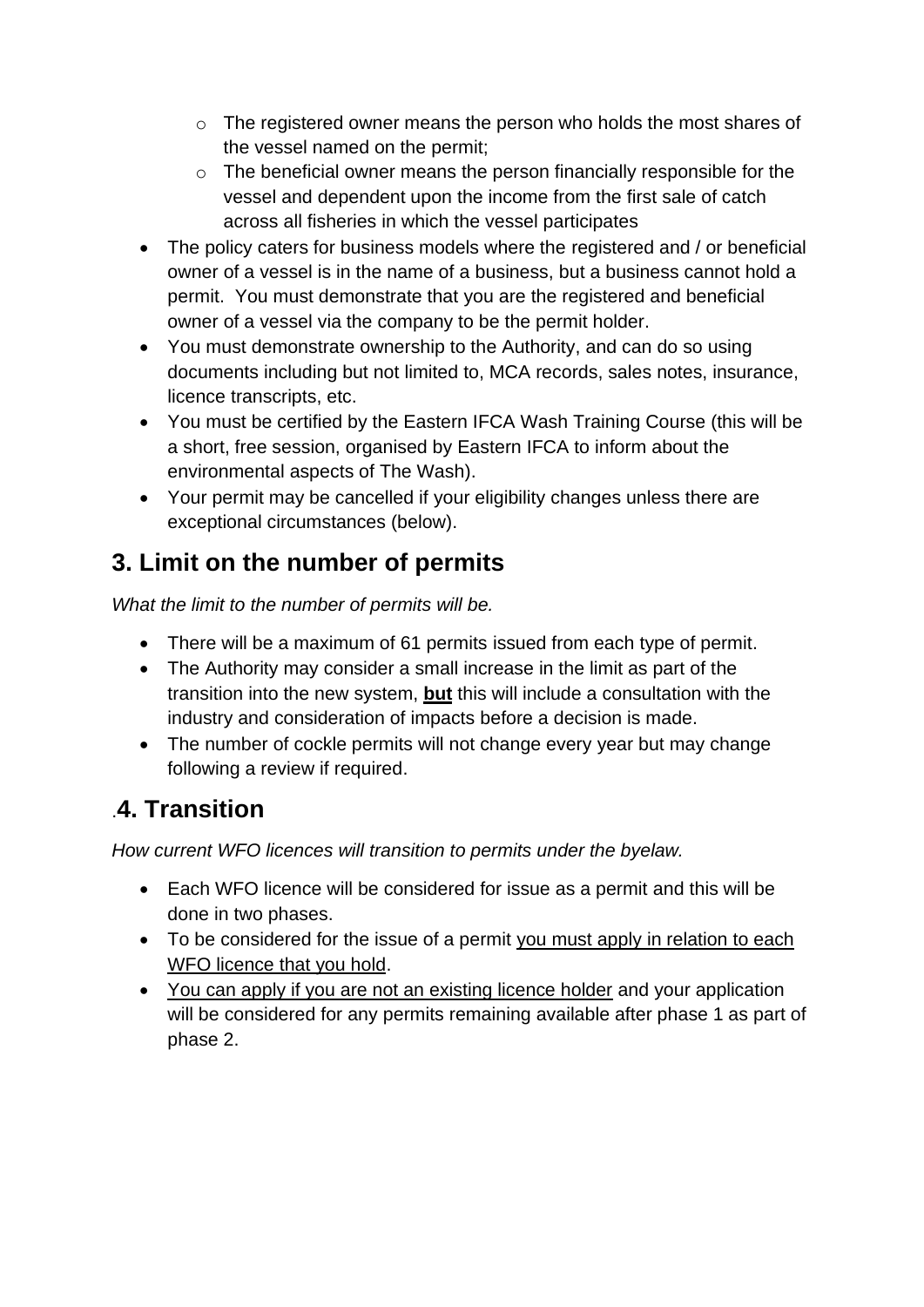- o The registered owner means the person who holds the most shares of the vessel named on the permit;
- o The beneficial owner means the person financially responsible for the vessel and dependent upon the income from the first sale of catch across all fisheries in which the vessel participates
- The policy caters for business models where the registered and / or beneficial owner of a vessel is in the name of a business, but a business cannot hold a permit. You must demonstrate that you are the registered and beneficial owner of a vessel via the company to be the permit holder.
- You must demonstrate ownership to the Authority, and can do so using documents including but not limited to, MCA records, sales notes, insurance, licence transcripts, etc.
- You must be certified by the Eastern IFCA Wash Training Course (this will be a short, free session, organised by Eastern IFCA to inform about the environmental aspects of The Wash).
- Your permit may be cancelled if your eligibility changes unless there are exceptional circumstances (below).

# **3. Limit on the number of permits**

*What the limit to the number of permits will be.*

- There will be a maximum of 61 permits issued from each type of permit.
- The Authority may consider a small increase in the limit as part of the transition into the new system, **but** this will include a consultation with the industry and consideration of impacts before a decision is made.
- The number of cockle permits will not change every year but may change following a review if required.

## .**4. Transition**

*How current WFO licences will transition to permits under the byelaw.*

- Each WFO licence will be considered for issue as a permit and this will be done in two phases.
- To be considered for the issue of a permit you must apply in relation to each WFO licence that you hold.
- You can apply if you are not an existing licence holder and your application will be considered for any permits remaining available after phase 1 as part of phase 2.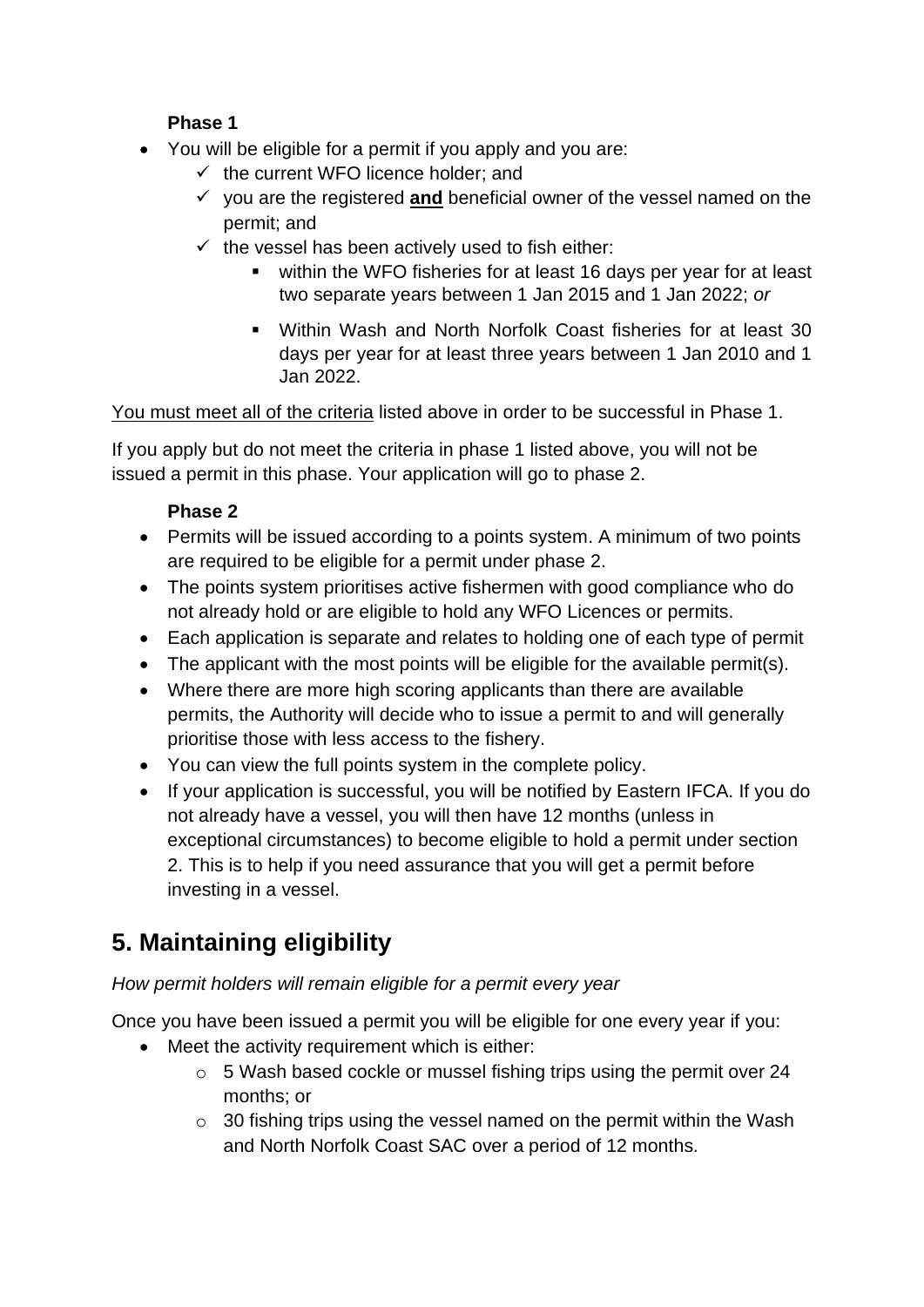#### **Phase 1**

- You will be eligible for a permit if you apply and you are:
	- $\checkmark$  the current WFO licence holder; and
	- ✓ you are the registered **and** beneficial owner of the vessel named on the permit; and
	- $\checkmark$  the vessel has been actively used to fish either:
		- within the WFO fisheries for at least 16 days per year for at least two separate years between 1 Jan 2015 and 1 Jan 2022; *or*
		- Within Wash and North Norfolk Coast fisheries for at least 30 days per year for at least three years between 1 Jan 2010 and 1 Jan 2022.

You must meet all of the criteria listed above in order to be successful in Phase 1.

If you apply but do not meet the criteria in phase 1 listed above, you will not be issued a permit in this phase. Your application will go to phase 2.

#### **Phase 2**

- Permits will be issued according to a points system. A minimum of two points are required to be eligible for a permit under phase 2.
- The points system prioritises active fishermen with good compliance who do not already hold or are eligible to hold any WFO Licences or permits.
- Each application is separate and relates to holding one of each type of permit
- The applicant with the most points will be eligible for the available permit(s).
- Where there are more high scoring applicants than there are available permits, the Authority will decide who to issue a permit to and will generally prioritise those with less access to the fishery.
- You can view the full points system in the complete policy.
- If your application is successful, you will be notified by Eastern IFCA. If you do not already have a vessel, you will then have 12 months (unless in exceptional circumstances) to become eligible to hold a permit under section 2. This is to help if you need assurance that you will get a permit before investing in a vessel.

# **5. Maintaining eligibility**

#### *How permit holders will remain eligible for a permit every year*

Once you have been issued a permit you will be eligible for one every year if you:

- Meet the activity requirement which is either:
	- o 5 Wash based cockle or mussel fishing trips using the permit over 24 months; or
	- $\circ$  30 fishing trips using the vessel named on the permit within the Wash and North Norfolk Coast SAC over a period of 12 months.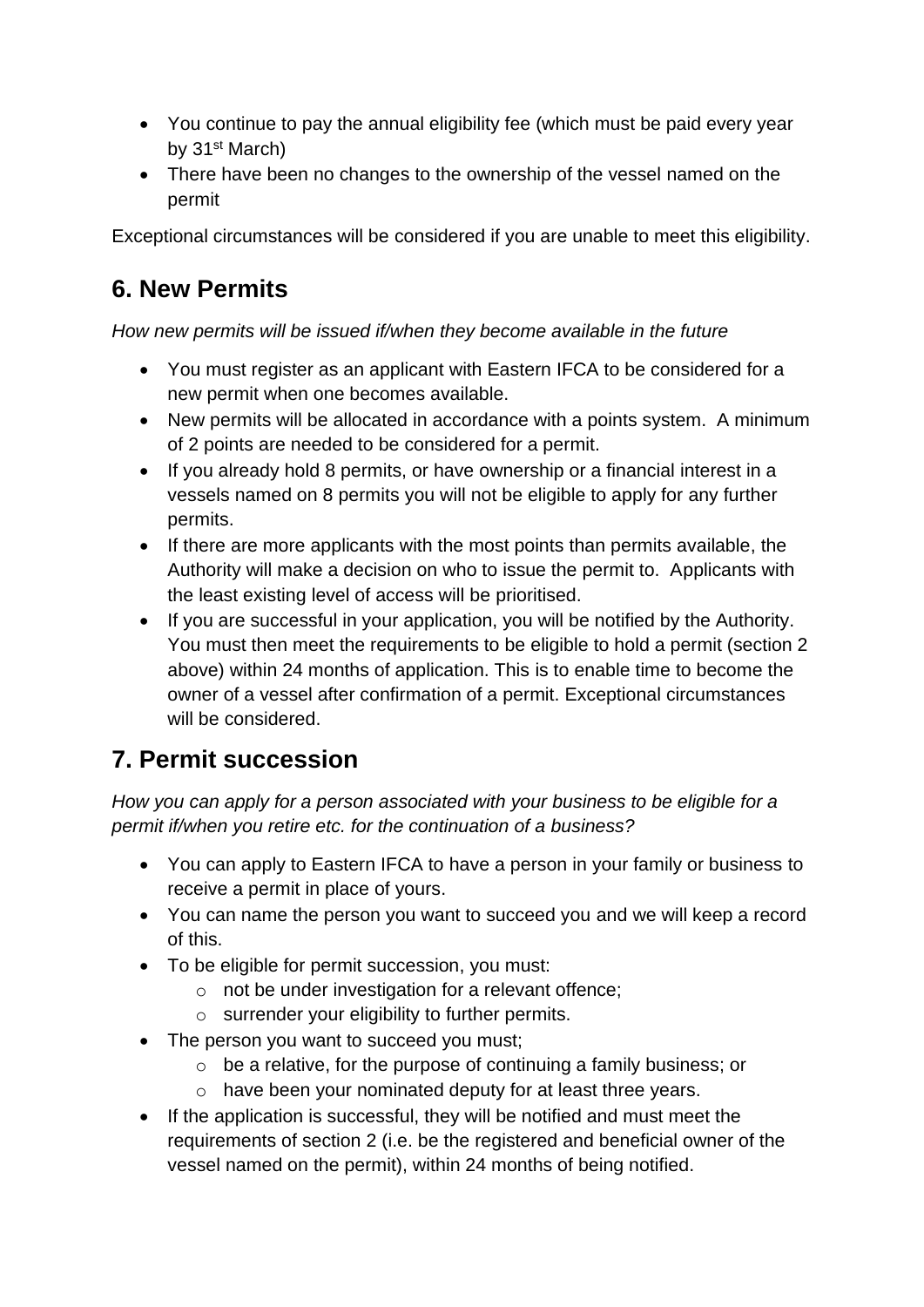- You continue to pay the annual eligibility fee (which must be paid every year by 31<sup>st</sup> March)
- There have been no changes to the ownership of the vessel named on the permit

Exceptional circumstances will be considered if you are unable to meet this eligibility.

### **6. New Permits**

#### *How new permits will be issued if/when they become available in the future*

- You must register as an applicant with Eastern IFCA to be considered for a new permit when one becomes available.
- New permits will be allocated in accordance with a points system. A minimum of 2 points are needed to be considered for a permit.
- If you already hold 8 permits, or have ownership or a financial interest in a vessels named on 8 permits you will not be eligible to apply for any further permits.
- If there are more applicants with the most points than permits available, the Authority will make a decision on who to issue the permit to. Applicants with the least existing level of access will be prioritised.
- If you are successful in your application, you will be notified by the Authority. You must then meet the requirements to be eligible to hold a permit (section 2 above) within 24 months of application. This is to enable time to become the owner of a vessel after confirmation of a permit. Exceptional circumstances will be considered.

## **7. Permit succession**

*How you can apply for a person associated with your business to be eligible for a permit if/when you retire etc. for the continuation of a business?*

- You can apply to Eastern IFCA to have a person in your family or business to receive a permit in place of yours.
- You can name the person you want to succeed you and we will keep a record of this.
- To be eligible for permit succession, you must:
	- o not be under investigation for a relevant offence;
	- o surrender your eligibility to further permits.
- The person you want to succeed you must;
	- o be a relative, for the purpose of continuing a family business; or
	- o have been your nominated deputy for at least three years.
- If the application is successful, they will be notified and must meet the requirements of section 2 (i.e. be the registered and beneficial owner of the vessel named on the permit), within 24 months of being notified.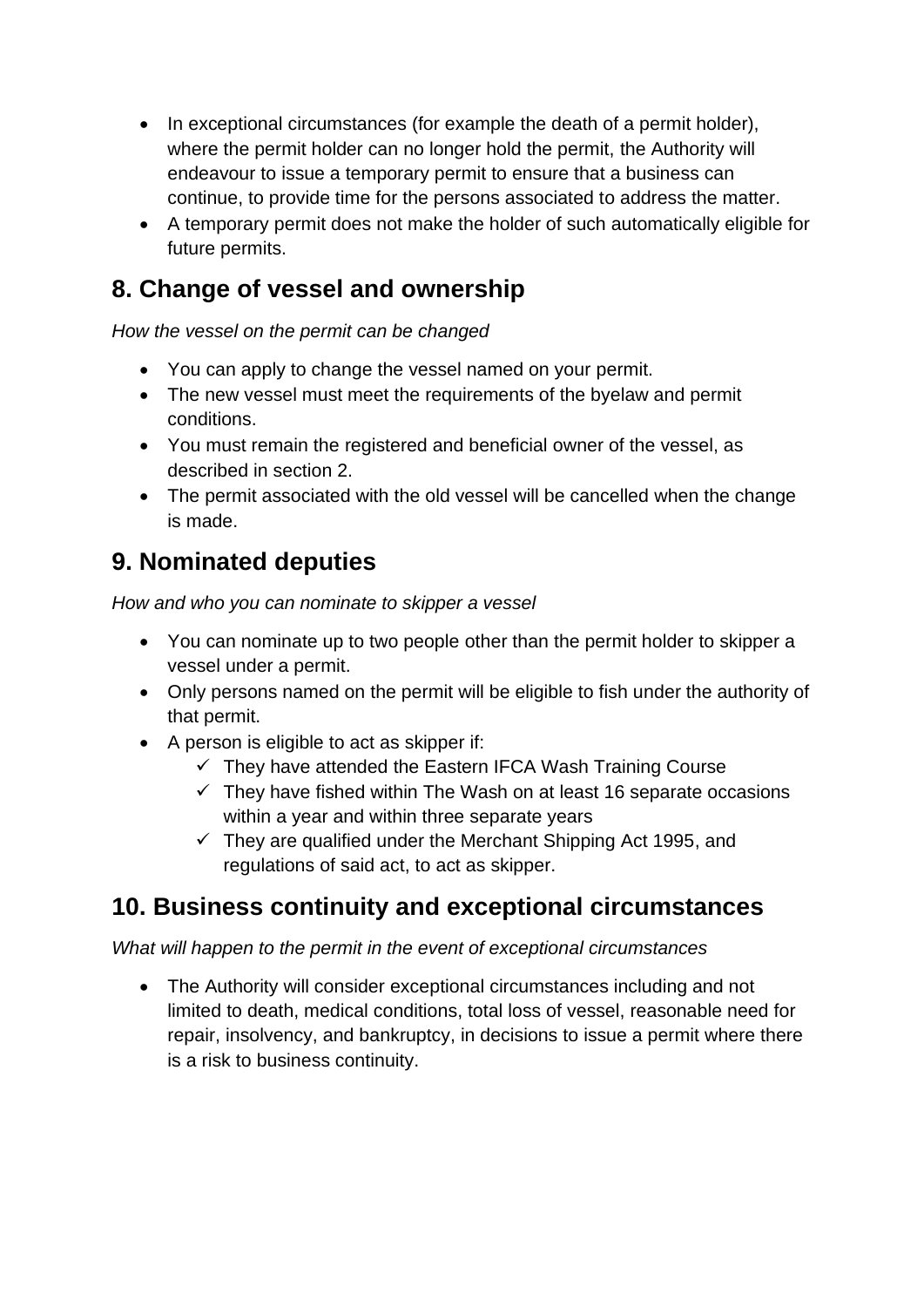- In exceptional circumstances (for example the death of a permit holder), where the permit holder can no longer hold the permit, the Authority will endeavour to issue a temporary permit to ensure that a business can continue, to provide time for the persons associated to address the matter.
- A temporary permit does not make the holder of such automatically eligible for future permits.

### **8. Change of vessel and ownership**

*How the vessel on the permit can be changed*

- You can apply to change the vessel named on your permit.
- The new vessel must meet the requirements of the byelaw and permit conditions.
- You must remain the registered and beneficial owner of the vessel, as described in section 2.
- The permit associated with the old vessel will be cancelled when the change is made.

## **9. Nominated deputies**

*How and who you can nominate to skipper a vessel*

- You can nominate up to two people other than the permit holder to skipper a vessel under a permit.
- Only persons named on the permit will be eligible to fish under the authority of that permit.
- A person is eligible to act as skipper if:
	- $\checkmark$  They have attended the Eastern IFCA Wash Training Course
	- $\checkmark$  They have fished within The Wash on at least 16 separate occasions within a year and within three separate years
	- $\checkmark$  They are qualified under the Merchant Shipping Act 1995, and regulations of said act, to act as skipper.

### **10. Business continuity and exceptional circumstances**

*What will happen to the permit in the event of exceptional circumstances*

• The Authority will consider exceptional circumstances including and not limited to death, medical conditions, total loss of vessel, reasonable need for repair, insolvency, and bankruptcy, in decisions to issue a permit where there is a risk to business continuity.